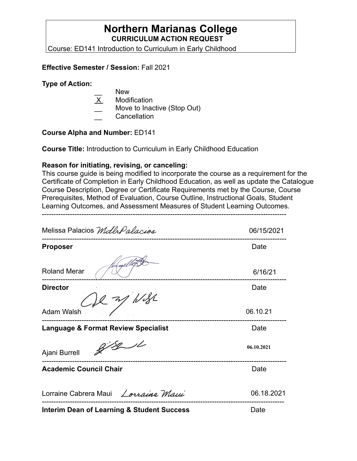## **Northern Marianas College CURRICULUM ACTION REQUEST**

Course: ED141 Introduction to Curriculum in Early Childhood

### **Effective Semester / Session:** Fall 2021

### **Type of Action:**

- New
- **Modification**
- Move to Inactive (Stop Out)
- \_\_ Cancellation

### **Course Alpha and Number:** ED141

**Course Title:** Introduction to Curriculum in Early Childhood Education

### **Reason for initiating, revising, or canceling:**

This course guide is being modified to incorporate the course as a requirement for the Certificate of Completion in Early Childhood Education, as well as update the Catalogue Course Description, Degree or Certificate Requirements met by the Course, Course Prerequisites, Method of Evaluation, Course Outline, Instructional Goals, Student Learning Outcomes, and Assessment Measures of Student Learning Outcomes.

---------------------------------------------------------------------------------------------------------

Melissa Palacios Mdlh Palacios 06/15/2021 --------------------------------------------------------------------------------------------------------- **Proposer** Date Roland Merar 6/16/21 --------------------------------------------------------------------------------------------------------- **Director** Date **Director Date** WSL Adam Walsh 06.10.21 --------------------------------------------------------------------------------------------------------- **Language & Format Review Specialist Canadiation Control Cate**  $8781$ **06.10.2021** Ajani Burrell --------------------------------------------------------------------------------------------------------- **Academic Council Chair <b>Date Date Date Date** Lorraine Cabrera Maui Lorraine Maui 06.18.2021 -------------------------------------------------------------------------------------------------------- **Interim Dean of Learning & Student Success** Date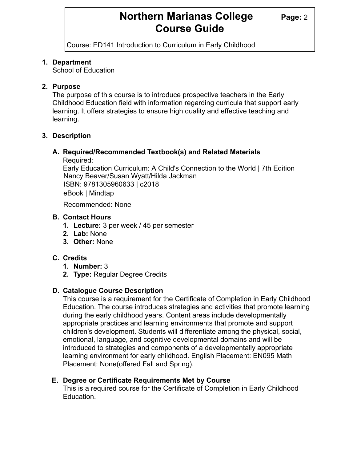# **Northern Marianas College Page: 2 Course Guide**

Course: ED141 Introduction to Curriculum in Early Childhood

### **1. Department**

School of Education

### **2. Purpose**

The purpose of this course is to introduce prospective teachers in the Early Childhood Education field with information regarding curricula that support early learning. It offers strategies to ensure high quality and effective teaching and learning.

### **3. Description**

### **A. Required/Recommended Textbook(s) and Related Materials**

Required:

Early Education Curriculum: A Child's Connection to the World | 7th Edition Nancy Beaver/Susan Wyatt/Hilda Jackman ISBN: 9781305960633 | c2018 eBook | Mindtap

Recommended: None

### **B. Contact Hours**

- **1. Lecture:** 3 per week / 45 per semester
- **2. Lab:** None
- **3. Other:** None

### **C. Credits**

- **1. Number:** 3
- **2. Type:** Regular Degree Credits

### **D. Catalogue Course Description**

This course is a requirement for the Certificate of Completion in Early Childhood Education. The course introduces strategies and activities that promote learning during the early childhood years. Content areas include developmentally appropriate practices and learning environments that promote and support children's development. Students will differentiate among the physical, social, emotional, language, and cognitive developmental domains and will be introduced to strategies and components of a developmentally appropriate learning environment for early childhood. English Placement: EN095 Math Placement: None(offered Fall and Spring).

### **E. Degree or Certificate Requirements Met by Course**

This is a required course for the Certificate of Completion in Early Childhood Education.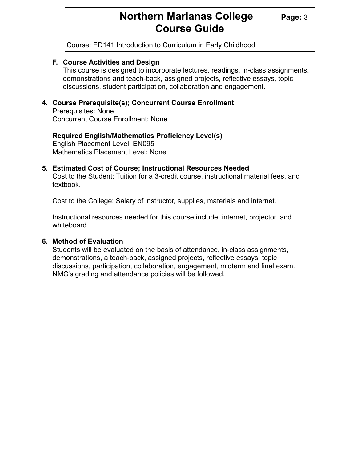# **Northern Marianas College** Page: 3 **Course Guide**

Course: ED141 Introduction to Curriculum in Early Childhood

### **F. Course Activities and Design**

This course is designed to incorporate lectures, readings, in-class assignments, demonstrations and teach-back, assigned projects, reflective essays, topic discussions, student participation, collaboration and engagement.

### **4. Course Prerequisite(s); Concurrent Course Enrollment**

Prerequisites: None Concurrent Course Enrollment: None

#### **Required English/Mathematics Proficiency Level(s)**  English Placement Level: EN095 Mathematics Placement Level: None

### **5. Estimated Cost of Course; Instructional Resources Needed**

Cost to the Student: Tuition for a 3-credit course, instructional material fees, and textbook.

Cost to the College: Salary of instructor, supplies, materials and internet.

Instructional resources needed for this course include: internet, projector, and whiteboard.

### **6. Method of Evaluation**

Students will be evaluated on the basis of attendance, in-class assignments, demonstrations, a teach-back, assigned projects, reflective essays, topic discussions, participation, collaboration, engagement, midterm and final exam. NMC's grading and attendance policies will be followed.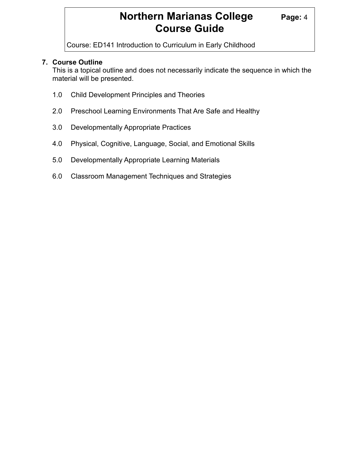# **Northern Marianas College Page: 4 Course Guide**

Course: ED141 Introduction to Curriculum in Early Childhood

### **7. Course Outline**

 This is a topical outline and does not necessarily indicate the sequence in which the material will be presented.

- 1.0 Child Development Principles and Theories
- 2.0 Preschool Learning Environments That Are Safe and Healthy
- 3.0 Developmentally Appropriate Practices
- 4.0 Physical, Cognitive, Language, Social, and Emotional Skills
- 5.0 Developmentally Appropriate Learning Materials
- 6.0 Classroom Management Techniques and Strategies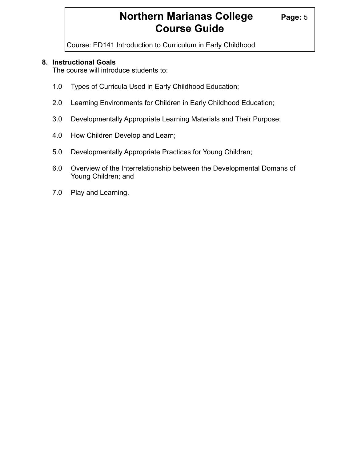# **Northern Marianas College Page: 5 Course Guide**

Course: ED141 Introduction to Curriculum in Early Childhood

### **8. Instructional Goals**

The course will introduce students to:

- 1.0 Types of Curricula Used in Early Childhood Education;
- 2.0 Learning Environments for Children in Early Childhood Education;
- 3.0 Developmentally Appropriate Learning Materials and Their Purpose;
- 4.0 How Children Develop and Learn;
- 5.0 Developmentally Appropriate Practices for Young Children;
- 6.0 Overview of the Interrelationship between the Developmental Domans of Young Children; and
- 7.0 Play and Learning.